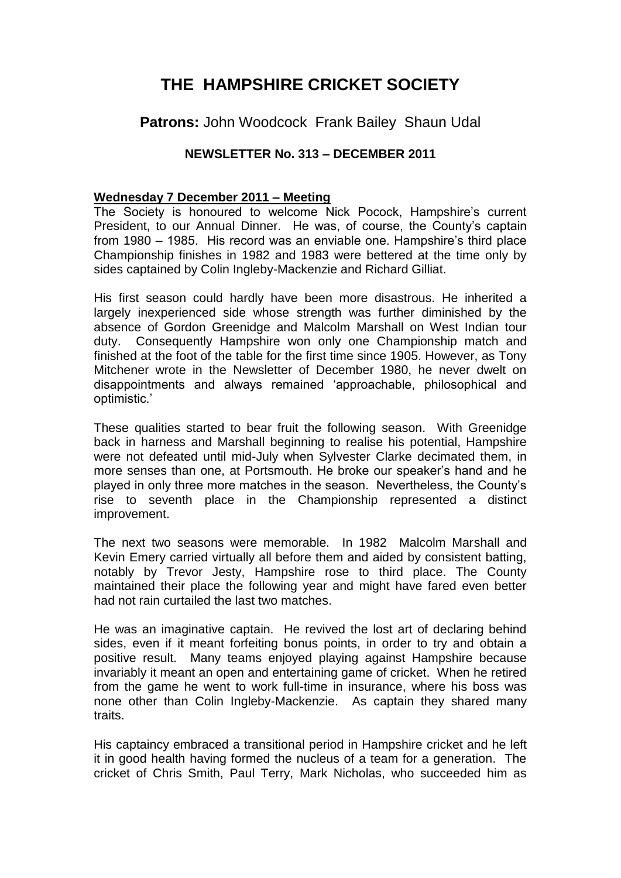# **THE HAMPSHIRE CRICKET SOCIETY**

## **Patrons:** John Woodcock Frank Bailey Shaun Udal

## **NEWSLETTER No. 313 – DECEMBER 2011**

#### **Wednesday 7 December 2011 – Meeting**

The Society is honoured to welcome Nick Pocock, Hampshire's current President, to our Annual Dinner. He was, of course, the County's captain from 1980 – 1985. His record was an enviable one. Hampshire's third place Championship finishes in 1982 and 1983 were bettered at the time only by sides captained by Colin Ingleby-Mackenzie and Richard Gilliat.

His first season could hardly have been more disastrous. He inherited a largely inexperienced side whose strength was further diminished by the absence of Gordon Greenidge and Malcolm Marshall on West Indian tour duty. Consequently Hampshire won only one Championship match and finished at the foot of the table for the first time since 1905. However, as Tony Mitchener wrote in the Newsletter of December 1980, he never dwelt on disappointments and always remained 'approachable, philosophical and optimistic.'

These qualities started to bear fruit the following season. With Greenidge back in harness and Marshall beginning to realise his potential, Hampshire were not defeated until mid-July when Sylvester Clarke decimated them, in more senses than one, at Portsmouth. He broke our speaker's hand and he played in only three more matches in the season. Nevertheless, the County's rise to seventh place in the Championship represented a distinct improvement.

The next two seasons were memorable. In 1982 Malcolm Marshall and Kevin Emery carried virtually all before them and aided by consistent batting, notably by Trevor Jesty, Hampshire rose to third place. The County maintained their place the following year and might have fared even better had not rain curtailed the last two matches.

He was an imaginative captain. He revived the lost art of declaring behind sides, even if it meant forfeiting bonus points, in order to try and obtain a positive result. Many teams enjoyed playing against Hampshire because invariably it meant an open and entertaining game of cricket. When he retired from the game he went to work full-time in insurance, where his boss was none other than Colin Ingleby-Mackenzie. As captain they shared many traits.

His captaincy embraced a transitional period in Hampshire cricket and he left it in good health having formed the nucleus of a team for a generation. The cricket of Chris Smith, Paul Terry, Mark Nicholas, who succeeded him as